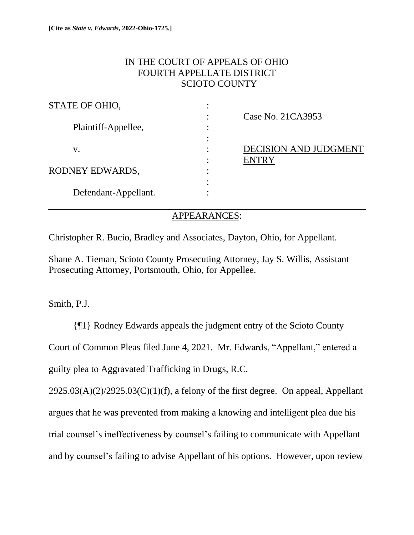# IN THE COURT OF APPEALS OF OHIO FOURTH APPELLATE DISTRICT SCIOTO COUNTY

| STATE OF OHIO,       |   |                              |
|----------------------|---|------------------------------|
|                      |   | Case No. 21CA3953            |
| Plaintiff-Appellee,  | ٠ |                              |
|                      |   |                              |
| v.                   |   | <b>DECISION AND JUDGMENT</b> |
|                      |   | <b>ENTRY</b>                 |
| RODNEY EDWARDS,      |   |                              |
|                      |   |                              |
| Defendant-Appellant. |   |                              |

## APPEARANCES:

Christopher R. Bucio, Bradley and Associates, Dayton, Ohio, for Appellant.

Shane A. Tieman, Scioto County Prosecuting Attorney, Jay S. Willis, Assistant Prosecuting Attorney, Portsmouth, Ohio, for Appellee.

Smith, P.J.

{¶1} Rodney Edwards appeals the judgment entry of the Scioto County Court of Common Pleas filed June 4, 2021. Mr. Edwards, "Appellant," entered a guilty plea to Aggravated Trafficking in Drugs, R.C.

 $2925.03(A)(2)/2925.03(C)(1)(f)$ , a felony of the first degree. On appeal, Appellant argues that he was prevented from making a knowing and intelligent plea due his trial counsel's ineffectiveness by counsel's failing to communicate with Appellant and by counsel's failing to advise Appellant of his options. However, upon review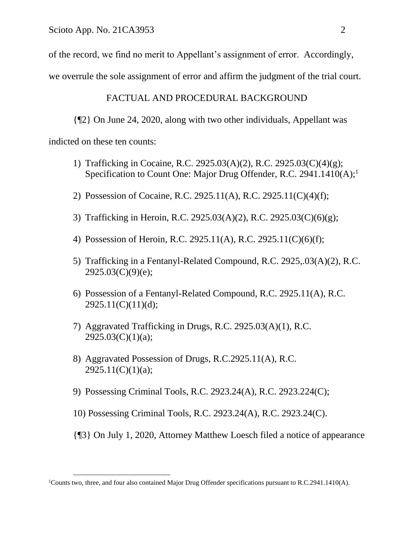of the record, we find no merit to Appellant's assignment of error. Accordingly,

we overrule the sole assignment of error and affirm the judgment of the trial court.

## FACTUAL AND PROCEDURAL BACKGROUND

{¶2} On June 24, 2020, along with two other individuals, Appellant was indicted on these ten counts:

- 1) Trafficking in Cocaine, R.C. 2925.03(A)(2), R.C. 2925.03(C)(4)(g); Specification to Count One: Major Drug Offender, R.C. 2941.1410(A);<sup>1</sup>
- 2) Possession of Cocaine, R.C. 2925.11(A), R.C. 2925.11(C)(4)(f);
- 3) Trafficking in Heroin, R.C. 2925.03(A)(2), R.C. 2925.03(C)(6)(g);
- 4) Possession of Heroin, R.C. 2925.11(A), R.C. 2925.11(C)(6)(f);
- 5) Trafficking in a Fentanyl-Related Compound, R.C. 2925,.03(A)(2), R.C.  $2925.03(C)(9)(e);$
- 6) Possession of a Fentanyl-Related Compound, R.C. 2925.11(A), R.C.  $2925.11(C)(11)(d);$
- 7) Aggravated Trafficking in Drugs, R.C. 2925.03(A)(1), R.C.  $2925.03(C)(1)(a);$
- 8) Aggravated Possession of Drugs, R.C.2925.11(A), R.C.  $2925.11(C)(1)(a);$
- 9) Possessing Criminal Tools, R.C. 2923.24(A), R.C. 2923.224(C);
- 10) Possessing Criminal Tools, R.C. 2923.24(A), R.C. 2923.24(C).
- {¶3} On July 1, 2020, Attorney Matthew Loesch filed a notice of appearance

<sup>1</sup>Counts two, three, and four also contained Major Drug Offender specifications pursuant to R.C.2941.1410(A).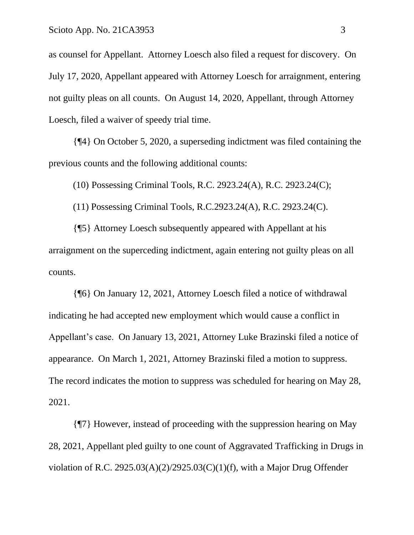as counsel for Appellant. Attorney Loesch also filed a request for discovery. On July 17, 2020, Appellant appeared with Attorney Loesch for arraignment, entering not guilty pleas on all counts. On August 14, 2020, Appellant, through Attorney Loesch, filed a waiver of speedy trial time.

{¶4} On October 5, 2020, a superseding indictment was filed containing the previous counts and the following additional counts:

(10) Possessing Criminal Tools, R.C. 2923.24(A), R.C. 2923.24(C);

(11) Possessing Criminal Tools, R.C.2923.24(A), R.C. 2923.24(C).

{¶5} Attorney Loesch subsequently appeared with Appellant at his arraignment on the superceding indictment, again entering not guilty pleas on all counts.

{¶6} On January 12, 2021, Attorney Loesch filed a notice of withdrawal indicating he had accepted new employment which would cause a conflict in Appellant's case. On January 13, 2021, Attorney Luke Brazinski filed a notice of appearance. On March 1, 2021, Attorney Brazinski filed a motion to suppress. The record indicates the motion to suppress was scheduled for hearing on May 28, 2021.

{¶7} However, instead of proceeding with the suppression hearing on May 28, 2021, Appellant pled guilty to one count of Aggravated Trafficking in Drugs in violation of R.C. 2925.03(A)(2)/2925.03(C)(1)(f), with a Major Drug Offender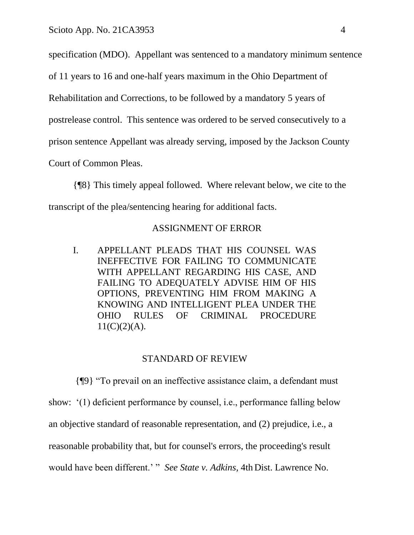specification (MDO). Appellant was sentenced to a mandatory minimum sentence

of 11 years to 16 and one-half years maximum in the Ohio Department of

Rehabilitation and Corrections, to be followed by a mandatory 5 years of

postrelease control. This sentence was ordered to be served consecutively to a

prison sentence Appellant was already serving, imposed by the Jackson County

Court of Common Pleas.

{¶8} This timely appeal followed. Where relevant below, we cite to the transcript of the plea/sentencing hearing for additional facts.

### ASSIGNMENT OF ERROR

I. APPELLANT PLEADS THAT HIS COUNSEL WAS INEFFECTIVE FOR FAILING TO COMMUNICATE WITH APPELLANT REGARDING HIS CASE, AND FAILING TO ADEQUATELY ADVISE HIM OF HIS OPTIONS, PREVENTING HIM FROM MAKING A KNOWING AND INTELLIGENT PLEA UNDER THE OHIO RULES OF CRIMINAL PROCEDURE  $11(C)(2)(A)$ .

### STANDARD OF REVIEW

{¶9} "To prevail on an ineffective assistance claim, a defendant must show: '(1) deficient performance by counsel, i.e., performance falling below an objective standard of reasonable representation, and (2) prejudice, i.e., a reasonable probability that, but for counsel's errors, the proceeding's result would have been different.' " *See State v. Adkins,* 4th Dist. Lawrence No.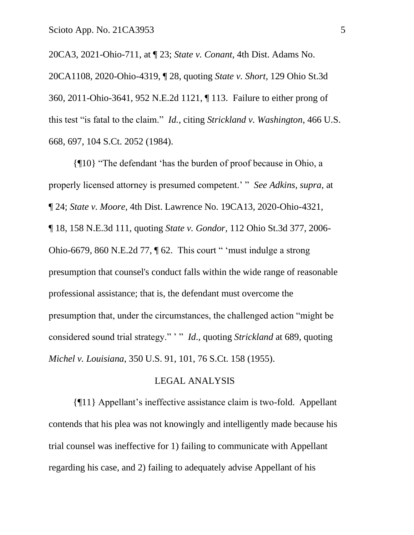20CA3, 2021-Ohio-711, at ¶ 23; *State v. Conant,* 4th Dist. Adams No. 20CA1108, 2020-Ohio-4319, ¶ 28, quoting *State v. Short,* 129 Ohio St.3d 360, 2011-Ohio-3641, 952 N.E.2d 1121, ¶ 113. Failure to either prong of this test "is fatal to the claim." *Id.,* citing *Strickland v. Washington*, 466 U.S. 668, 697, 104 S.Ct. 2052 (1984).

{¶10} "The defendant 'has the burden of proof because in Ohio, a properly licensed attorney is presumed competent.' " *See Adkins, supra,* at ¶ 24; *State v. Moore,* 4th Dist. Lawrence No. 19CA13, 2020-Ohio-4321, ¶ 18, 158 N.E.3d 111, quoting *State v. Gondor,* 112 Ohio St.3d 377, 2006- Ohio-6679, 860 N.E.2d 77, ¶ 62. This court " 'must indulge a strong presumption that counsel's conduct falls within the wide range of reasonable professional assistance; that is, the defendant must overcome the presumption that, under the circumstances, the challenged action "might be considered sound trial strategy." ' " *Id*., quoting *Strickland* at 689, quoting *Michel v. Louisiana*, 350 U.S. 91, 101, 76 S.Ct. 158 (1955).

### LEGAL ANALYSIS

{¶11} Appellant's ineffective assistance claim is two-fold. Appellant contends that his plea was not knowingly and intelligently made because his trial counsel was ineffective for 1) failing to communicate with Appellant regarding his case, and 2) failing to adequately advise Appellant of his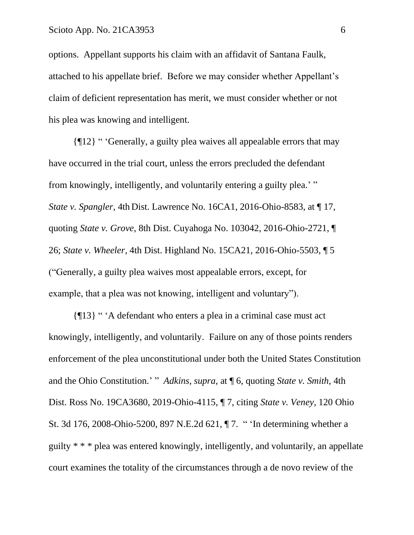options. Appellant supports his claim with an affidavit of Santana Faulk, attached to his appellate brief. Before we may consider whether Appellant's claim of deficient representation has merit, we must consider whether or not his plea was knowing and intelligent.

{¶12} " 'Generally, a guilty plea waives all appealable errors that may have occurred in the trial court, unless the errors precluded the defendant from knowingly, intelligently, and voluntarily entering a guilty plea.' " *State v. Spangler,* 4th Dist. Lawrence No. 16CA1, 2016-Ohio-8583, at ¶ 17, quoting *State v. Grove*, 8th Dist. Cuyahoga No. 103042, 2016-Ohio-2721, ¶ 26; *State v. Wheeler*, 4th Dist. Highland No. 15CA21, 2016-Ohio-5503, ¶ 5 ("Generally, a guilty plea waives most appealable errors, except, for example, that a plea was not knowing, intelligent and voluntary").

{¶13} " 'A defendant who enters a plea in a criminal case must act knowingly, intelligently, and voluntarily. Failure on any of those points renders enforcement of the plea unconstitutional under both the United States Constitution and the Ohio Constitution.' " *Adkins, supra,* at ¶ 6, quoting *State v. Smith,* 4th Dist. Ross No. 19CA3680, 2019-Ohio-4115, ¶ 7, citing *State v. Veney*, 120 Ohio St. 3d 176, 2008-Ohio-5200, 897 N.E.2d 621, ¶ 7. " 'In determining whether a guilty \* \* \* plea was entered knowingly, intelligently, and voluntarily, an appellate court examines the totality of the circumstances through a de novo review of the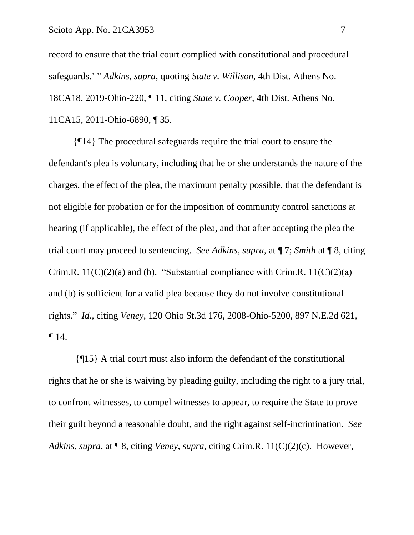record to ensure that the trial court complied with constitutional and procedural safeguards.' " *Adkins, supra,* quoting *State v. Willison,* 4th Dist. Athens No. 18CA18, 2019-Ohio-220, ¶ 11, citing *State v. Cooper,* 4th Dist. Athens No. 11CA15, 2011-Ohio-6890, ¶ 35.

{¶14} The procedural safeguards require the trial court to ensure the defendant's plea is voluntary, including that he or she understands the nature of the charges, the effect of the plea, the maximum penalty possible, that the defendant is not eligible for probation or for the imposition of community control sanctions at hearing (if applicable), the effect of the plea, and that after accepting the plea the trial court may proceed to sentencing. *See Adkins, supra,* at ¶ 7; *Smith* at ¶ 8, citing Crim.R.  $11(C)(2)(a)$  and (b). "Substantial compliance with Crim.R.  $11(C)(2)(a)$ and (b) is sufficient for a valid plea because they do not involve constitutional rights." *Id.,* citing *Veney,* 120 Ohio St.3d 176, 2008-Ohio-5200, 897 N.E.2d 621,  $\P$  14.

{¶15} A trial court must also inform the defendant of the constitutional rights that he or she is waiving by pleading guilty, including the right to a jury trial, to confront witnesses, to compel witnesses to appear, to require the State to prove their guilt beyond a reasonable doubt, and the right against self-incrimination. *See Adkins, supra,* at ¶ 8, citing *Veney, supra,* citing Crim.R. 11(C)(2)(c). However,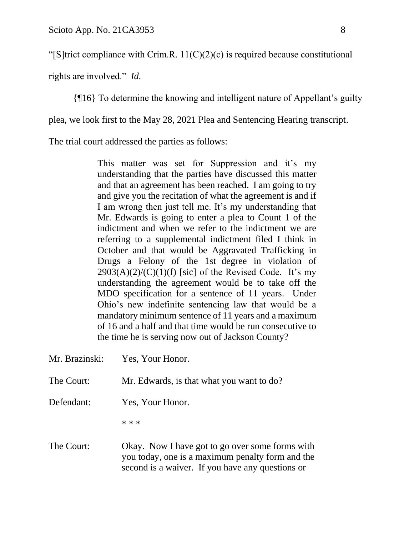"[S]trict compliance with Crim.R.  $11(C)(2)(c)$  is required because constitutional

rights are involved." *Id.*

{¶16} To determine the knowing and intelligent nature of Appellant's guilty

plea, we look first to the May 28, 2021 Plea and Sentencing Hearing transcript.

The trial court addressed the parties as follows:

This matter was set for Suppression and it's my understanding that the parties have discussed this matter and that an agreement has been reached. I am going to try and give you the recitation of what the agreement is and if I am wrong then just tell me. It's my understanding that Mr. Edwards is going to enter a plea to Count 1 of the indictment and when we refer to the indictment we are referring to a supplemental indictment filed I think in October and that would be Aggravated Trafficking in Drugs a Felony of the 1st degree in violation of  $2903(A)(2)/(C)(1)(f)$  [sic] of the Revised Code. It's my understanding the agreement would be to take off the MDO specification for a sentence of 11 years. Under Ohio's new indefinite sentencing law that would be a mandatory minimum sentence of 11 years and a maximum of 16 and a half and that time would be run consecutive to the time he is serving now out of Jackson County?

| Mr. Brazinski: | Yes, Your Honor.                                                                                                                                        |
|----------------|---------------------------------------------------------------------------------------------------------------------------------------------------------|
| The Court:     | Mr. Edwards, is that what you want to do?                                                                                                               |
| Defendant:     | Yes, Your Honor.                                                                                                                                        |
|                | $* * *$                                                                                                                                                 |
| The Court:     | Okay. Now I have got to go over some forms with<br>you today, one is a maximum penalty form and the<br>second is a waiver. If you have any questions or |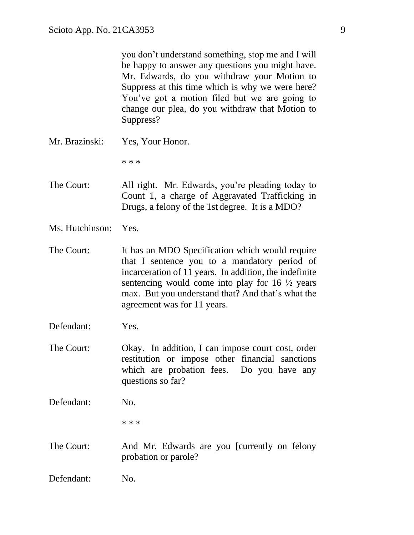you don't understand something, stop me and I will be happy to answer any questions you might have. Mr. Edwards, do you withdraw your Motion to Suppress at this time which is why we were here? You've got a motion filed but we are going to change our plea, do you withdraw that Motion to Suppress?

Mr. Brazinski: Yes, Your Honor.

\* \* \*

The Court: All right. Mr. Edwards, you're pleading today to Count 1, a charge of Aggravated Trafficking in Drugs, a felony of the 1st degree. It is a MDO?

- Ms. Hutchinson: Yes.
- The Court: It has an MDO Specification which would require that I sentence you to a mandatory period of incarceration of 11 years. In addition, the indefinite sentencing would come into play for 16 ½ years max. But you understand that? And that's what the agreement was for 11 years.
- Defendant: Yes.
- The Court: Okay. In addition, I can impose court cost, order restitution or impose other financial sanctions which are probation fees. Do you have any questions so far?
- Defendant: No.

\* \* \*

- The Court: And Mr. Edwards are you [currently on felony probation or parole?
- Defendant: No.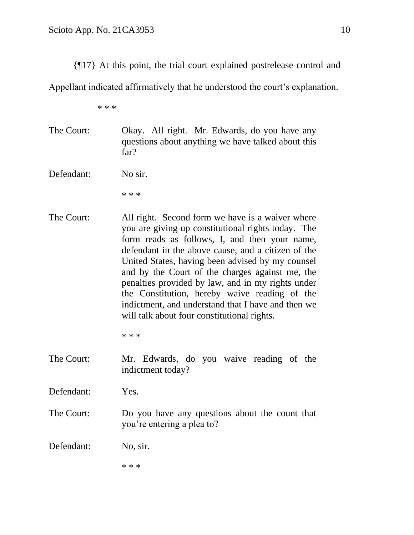{¶17} At this point, the trial court explained postrelease control and

Appellant indicated affirmatively that he understood the court's explanation.

\* \* \*

- The Court: Okay. All right. Mr. Edwards, do you have any questions about anything we have talked about this far?
- Defendant: No sir.

\* \* \*

The Court: All right. Second form we have is a waiver where you are giving up constitutional rights today. The form reads as follows, I, and then your name, defendant in the above cause, and a citizen of the United States, having been advised by my counsel and by the Court of the charges against me, the penalties provided by law, and in my rights under the Constitution, hereby waive reading of the indictment, and understand that I have and then we will talk about four constitutional rights.

\* \* \*

- The Court: Mr. Edwards, do you waive reading of the indictment today?
- Defendant: Yes.
- The Court: Do you have any questions about the count that you're entering a plea to?

Defendant: No, sir.

\* \* \*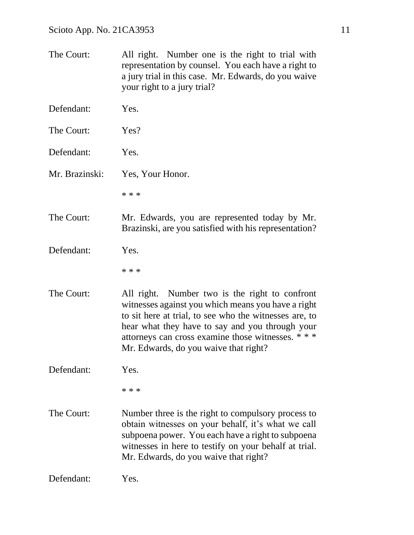The Court: All right. Number one is the right to trial with representation by counsel. You each have a right to a jury trial in this case. Mr. Edwards, do you waive your right to a jury trial? Defendant: Yes. The Court: Yes? Defendant: Yes. Mr. Brazinski: Yes, Your Honor. \* \* \* The Court: Mr. Edwards, you are represented today by Mr. Brazinski, are you satisfied with his representation? Defendant: Yes. \* \* \* The Court: All right. Number two is the right to confront witnesses against you which means you have a right to sit here at trial, to see who the witnesses are, to hear what they have to say and you through your attorneys can cross examine those witnesses. \* \* \* Mr. Edwards, do you waive that right? Defendant: Yes. \* \* \* The Court: Number three is the right to compulsory process to obtain witnesses on your behalf, it's what we call subpoena power. You each have a right to subpoena witnesses in here to testify on your behalf at trial. Mr. Edwards, do you waive that right? Defendant: Yes.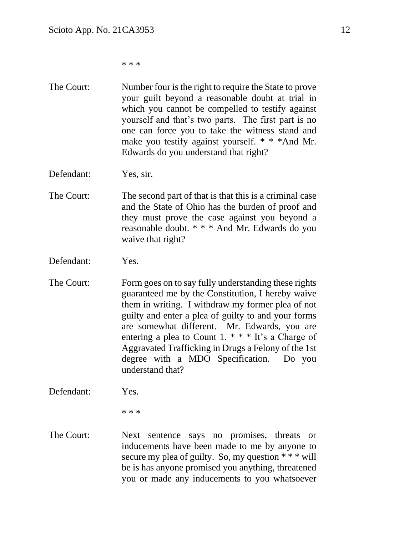\* \* \*

- The Court: Number four is the right to require the State to prove your guilt beyond a reasonable doubt at trial in which you cannot be compelled to testify against yourself and that's two parts. The first part is no one can force you to take the witness stand and make you testify against yourself. \* \* \*And Mr. Edwards do you understand that right?
- Defendant: Yes, sir.
- The Court: The second part of that is that this is a criminal case and the State of Ohio has the burden of proof and they must prove the case against you beyond a reasonable doubt. \* \* \* And Mr. Edwards do you waive that right?
- Defendant: Yes.
- The Court: Form goes on to say fully understanding these rights guaranteed me by the Constitution, I hereby waive them in writing. I withdraw my former plea of not guilty and enter a plea of guilty to and your forms are somewhat different. Mr. Edwards, you are entering a plea to Count 1.  $***$  It's a Charge of Aggravated Trafficking in Drugs a Felony of the 1st degree with a MDO Specification. Do you understand that?

Defendant: Yes.

\* \* \*

The Court: Next sentence says no promises, threats or inducements have been made to me by anyone to secure my plea of guilty. So, my question \* \* \* will be is has anyone promised you anything, threatened you or made any inducements to you whatsoever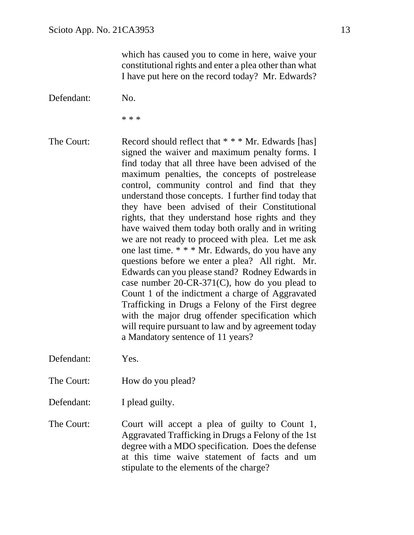which has caused you to come in here, waive your constitutional rights and enter a plea other than what I have put here on the record today? Mr. Edwards?

Defendant: No.

\* \* \*

The Court: Record should reflect that \* \* \* Mr. Edwards [has] signed the waiver and maximum penalty forms. I find today that all three have been advised of the maximum penalties, the concepts of postrelease control, community control and find that they understand those concepts. I further find today that they have been advised of their Constitutional rights, that they understand hose rights and they have waived them today both orally and in writing we are not ready to proceed with plea. Let me ask one last time. \* \* \* Mr. Edwards, do you have any questions before we enter a plea? All right. Mr. Edwards can you please stand? Rodney Edwards in case number 20-CR-371(C), how do you plead to Count 1 of the indictment a charge of Aggravated Trafficking in Drugs a Felony of the First degree with the major drug offender specification which will require pursuant to law and by agreement today a Mandatory sentence of 11 years?

Defendant: Yes.

- The Court: How do you plead?
- Defendant: I plead guilty.
- The Court: Court will accept a plea of guilty to Count 1, Aggravated Trafficking in Drugs a Felony of the 1st degree with a MDO specification. Does the defense at this time waive statement of facts and um stipulate to the elements of the charge?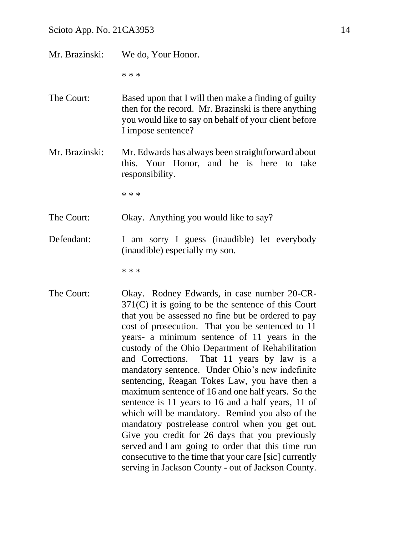| Mr. Brazinski: | We do, Your Honor.                                                                                                                                                                                                                                                                                                                                                                                                  |
|----------------|---------------------------------------------------------------------------------------------------------------------------------------------------------------------------------------------------------------------------------------------------------------------------------------------------------------------------------------------------------------------------------------------------------------------|
|                | * * *                                                                                                                                                                                                                                                                                                                                                                                                               |
| The Court:     | Based upon that I will then make a finding of guilty<br>then for the record. Mr. Brazinski is there anything<br>you would like to say on behalf of your client before<br>I impose sentence?                                                                                                                                                                                                                         |
| Mr. Brazinski: | Mr. Edwards has always been straightforward about<br>this. Your Honor, and he is here to take<br>responsibility.                                                                                                                                                                                                                                                                                                    |
|                | $* * *$                                                                                                                                                                                                                                                                                                                                                                                                             |
| The Court:     | Okay. Anything you would like to say?                                                                                                                                                                                                                                                                                                                                                                               |
| Defendant:     | I am sorry I guess (inaudible) let everybody<br>(inaudible) especially my son.                                                                                                                                                                                                                                                                                                                                      |
|                | * * *                                                                                                                                                                                                                                                                                                                                                                                                               |
| The Court:     | Okay. Rodney Edwards, in case number 20-CR-<br>$371(C)$ it is going to be the sentence of this Court<br>that you be assessed no fine but be ordered to pay<br>cost of prosecution. That you be sentenced to 11<br>years- a minimum sentence of 11 years in the<br>custody of the Ohio Department of Rehabilitation<br>and Corrections. That 11 years by law is a<br>mandatory sentence. Under Ohio's new indefinite |

cost of prosecution. That you be sentenced to 11 years- a minimum sentence of 11 years in the custody of the Ohio Department of Rehabilitation and Corrections. That 11 years by law is a mandatory sentence. Under Ohio's new indefinite sentencing, Reagan Tokes Law, you have then a maximum sentence of 16 and one half years. So the sentence is 11 years to 16 and a half years, 11 of which will be mandatory. Remind you also of the mandatory postrelease control when you get out. Give you credit for 26 days that you previously served and I am going to order that this time run consecutive to the time that your care [sic] currently serving in Jackson County - out of Jackson County.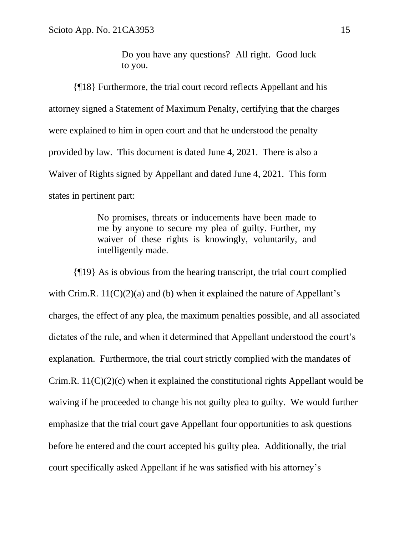Do you have any questions? All right. Good luck to you.

{¶18} Furthermore, the trial court record reflects Appellant and his attorney signed a Statement of Maximum Penalty, certifying that the charges were explained to him in open court and that he understood the penalty provided by law. This document is dated June 4, 2021. There is also a Waiver of Rights signed by Appellant and dated June 4, 2021. This form states in pertinent part:

> No promises, threats or inducements have been made to me by anyone to secure my plea of guilty. Further, my waiver of these rights is knowingly, voluntarily, and intelligently made.

{¶19} As is obvious from the hearing transcript, the trial court complied with Crim.R.  $11(C)(2)(a)$  and (b) when it explained the nature of Appellant's charges, the effect of any plea, the maximum penalties possible, and all associated dictates of the rule, and when it determined that Appellant understood the court's explanation. Furthermore, the trial court strictly complied with the mandates of Crim.R.  $11(C)(2)(c)$  when it explained the constitutional rights Appellant would be waiving if he proceeded to change his not guilty plea to guilty. We would further emphasize that the trial court gave Appellant four opportunities to ask questions before he entered and the court accepted his guilty plea. Additionally, the trial court specifically asked Appellant if he was satisfied with his attorney's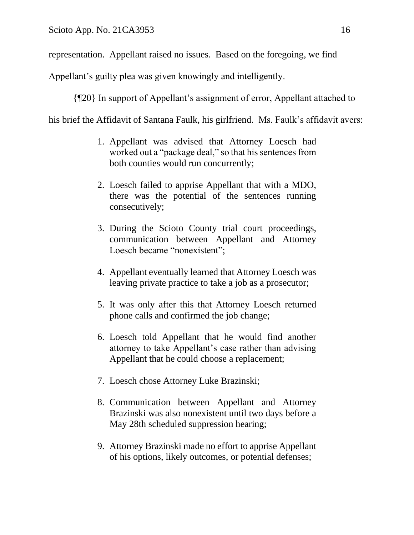representation. Appellant raised no issues. Based on the foregoing, we find

Appellant's guilty plea was given knowingly and intelligently.

{¶20} In support of Appellant's assignment of error, Appellant attached to

his brief the Affidavit of Santana Faulk, his girlfriend. Ms. Faulk's affidavit avers:

- 1. Appellant was advised that Attorney Loesch had worked out a "package deal," so that his sentences from both counties would run concurrently;
- 2. Loesch failed to apprise Appellant that with a MDO, there was the potential of the sentences running consecutively;
- 3. During the Scioto County trial court proceedings, communication between Appellant and Attorney Loesch became "nonexistent";
- 4. Appellant eventually learned that Attorney Loesch was leaving private practice to take a job as a prosecutor;
- 5. It was only after this that Attorney Loesch returned phone calls and confirmed the job change;
- 6. Loesch told Appellant that he would find another attorney to take Appellant's case rather than advising Appellant that he could choose a replacement;
- 7. Loesch chose Attorney Luke Brazinski;
- 8. Communication between Appellant and Attorney Brazinski was also nonexistent until two days before a May 28th scheduled suppression hearing;
- 9. Attorney Brazinski made no effort to apprise Appellant of his options, likely outcomes, or potential defenses;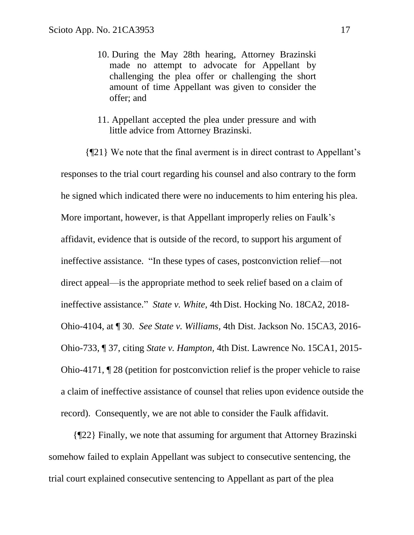- 10. During the May 28th hearing, Attorney Brazinski made no attempt to advocate for Appellant by challenging the plea offer or challenging the short amount of time Appellant was given to consider the offer; and
- 11. Appellant accepted the plea under pressure and with little advice from Attorney Brazinski.

{¶21} We note that the final averment is in direct contrast to Appellant's responses to the trial court regarding his counsel and also contrary to the form he signed which indicated there were no inducements to him entering his plea. More important, however, is that Appellant improperly relies on Faulk's affidavit, evidence that is outside of the record, to support his argument of ineffective assistance. "In these types of cases, postconviction relief—not direct appeal—is the appropriate method to seek relief based on a claim of ineffective assistance." *State v. White,* 4th Dist. Hocking No. 18CA2, 2018- Ohio-4104, at ¶ 30. *See State v. Williams,* 4th Dist. Jackson No. 15CA3, 2016- Ohio-733, ¶ 37, citing *State v. Hampton,* 4th Dist. Lawrence No. 15CA1, 2015- Ohio-4171, ¶ 28 (petition for postconviction relief is the proper vehicle to raise a claim of ineffective assistance of counsel that relies upon evidence outside the record). Consequently, we are not able to consider the Faulk affidavit.

{¶22} Finally, we note that assuming for argument that Attorney Brazinski somehow failed to explain Appellant was subject to consecutive sentencing, the trial court explained consecutive sentencing to Appellant as part of the plea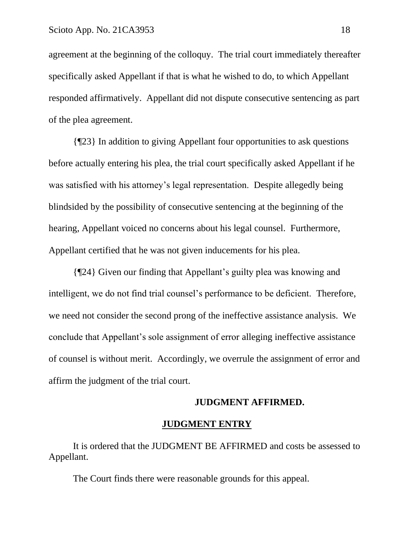agreement at the beginning of the colloquy. The trial court immediately thereafter specifically asked Appellant if that is what he wished to do, to which Appellant responded affirmatively. Appellant did not dispute consecutive sentencing as part of the plea agreement.

{¶23} In addition to giving Appellant four opportunities to ask questions before actually entering his plea, the trial court specifically asked Appellant if he was satisfied with his attorney's legal representation. Despite allegedly being blindsided by the possibility of consecutive sentencing at the beginning of the hearing, Appellant voiced no concerns about his legal counsel. Furthermore, Appellant certified that he was not given inducements for his plea.

{¶24} Given our finding that Appellant's guilty plea was knowing and intelligent, we do not find trial counsel's performance to be deficient. Therefore, we need not consider the second prong of the ineffective assistance analysis. We conclude that Appellant's sole assignment of error alleging ineffective assistance of counsel is without merit. Accordingly, we overrule the assignment of error and affirm the judgment of the trial court.

#### **JUDGMENT AFFIRMED.**

#### **JUDGMENT ENTRY**

It is ordered that the JUDGMENT BE AFFIRMED and costs be assessed to Appellant.

The Court finds there were reasonable grounds for this appeal.